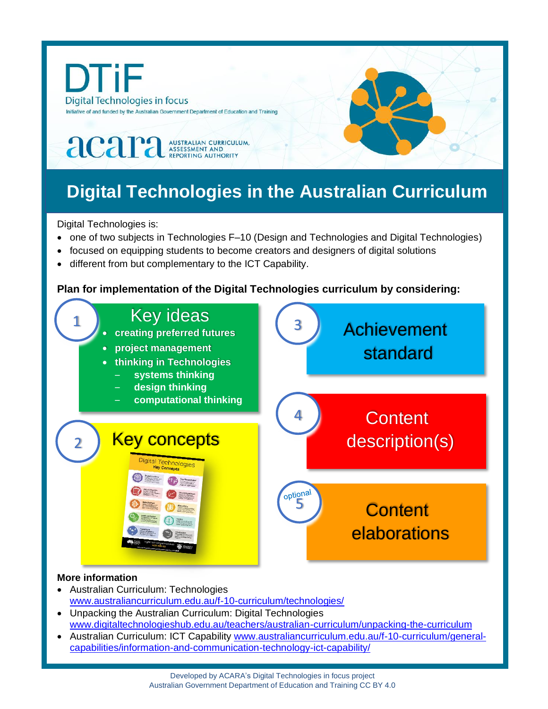

## **Digital Technologies in the Australian Curriculum**

Digital Technologies is:

- one of two subjects in Technologies F-10 (Design and Technologies and Digital Technologies)
- focused on equipping students to become creators and designers of digital solutions
- different from but complementary to the ICT Capability.

## **Plan for implementation of the Digital Technologies curriculum by considering:**



## **More information**

- Australian Curriculum: Technologies [www.australiancurriculum.edu.au/f-10-curriculum/technologies/](https://www.australiancurriculum.edu.au/f-10-curriculum/technologies/)
- Unpacking the Australian Curriculum: Digital Technologies [www.digitaltechnologieshub.edu.au/teachers/australian-curriculum/unpacking-the-curriculum](https://www.digitaltechnologieshub.edu.au/teachers/australian-curriculum/unpacking-the-curriculum)
- Australian Curriculum: ICT Capability [www.australiancurriculum.edu.au/f-10-curriculum/general](https://www.australiancurriculum.edu.au/f-10-curriculum/general-capabilities/information-and-communication-technology-ict-capability/)[capabilities/information-and-communication-technology-ict-capability/](https://www.australiancurriculum.edu.au/f-10-curriculum/general-capabilities/information-and-communication-technology-ict-capability/)